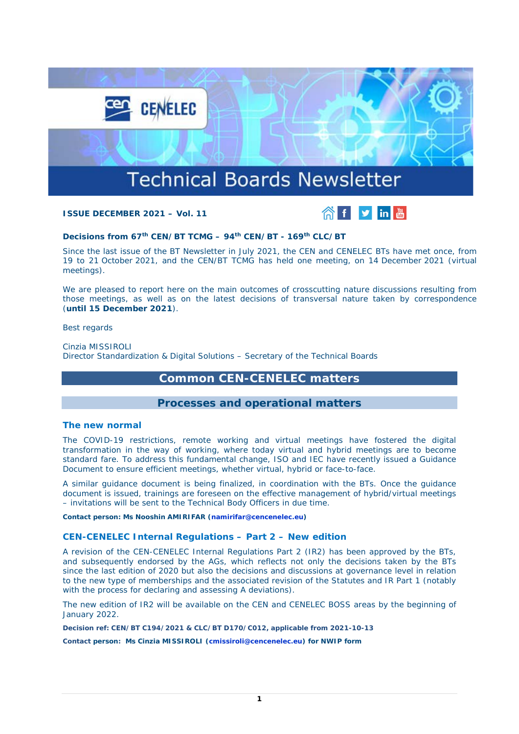

### **ISSUE DECEMBER 2021 – Vol. 11**



## **Decisions from 67th CEN/BT TCMG – 94th CEN/BT - 169th CLC/BT**

Since the last issue of the BT Newsletter in July 2021, the CEN and CENELEC BTs have met once, from 19 to 21 October 2021, and the CEN/BT TCMG has held one meeting, on 14 December 2021 (virtual meetings).

We are pleased to report here on the main outcomes of crosscutting nature discussions resulting from those meetings, as well as on the latest decisions of transversal nature taken by correspondence (**until 15 December 2021**).

Best regards

Cinzia MISSIROLI Director Standardization & Digital Solutions – Secretary of the Technical Boards

# **Common CEN-CENELEC matters**

## **Processes and operational matters**

#### **The new normal**

The COVID-19 restrictions, remote working and virtual meetings have fostered the digital transformation in the way of working, where today virtual and hybrid meetings are to become standard fare. To address this fundamental change, ISO and IEC have recently issued a Guidance Document to ensure efficient meetings, whether virtual, hybrid or face-to-face.

A similar guidance document is being finalized, in coordination with the BTs. Once the guidance document is issued, trainings are foreseen on the effective management of hybrid/virtual meetings – invitations will be sent to the Technical Body Officers in due time.

*Contact person: Ms Nooshin AMIRIFAR [\(namirifar@cencenelec.eu\)](mailto:namirifar@cencenelec.eu)*

#### **CEN-CENELEC Internal Regulations – Part 2 – New edition**

A revision of the CEN-CENELEC Internal Regulations Part 2 (IR2) has been approved by the BTs, and subsequently endorsed by the AGs, which reflects not only the decisions taken by the BTs since the last edition of 2020 but also the decisions and discussions at governance level in relation to the new type of memberships and the associated revision of the Statutes and IR Part 1 (notably with the process for declaring and assessing A deviations).

The new edition of IR2 will be available on the CEN and CENELEC BOSS areas by the beginning of January 2022.

*Decision ref: CEN/BT C194/2021 & CLC/BT D170/C012, applicable from 2021-10-13*

*Contact person: Ms Cinzia MISSIROLI [\(cmissiroli@cencenelec.eu\)](mailto:cmissiroli@cencenelec.eu) for NWIP form*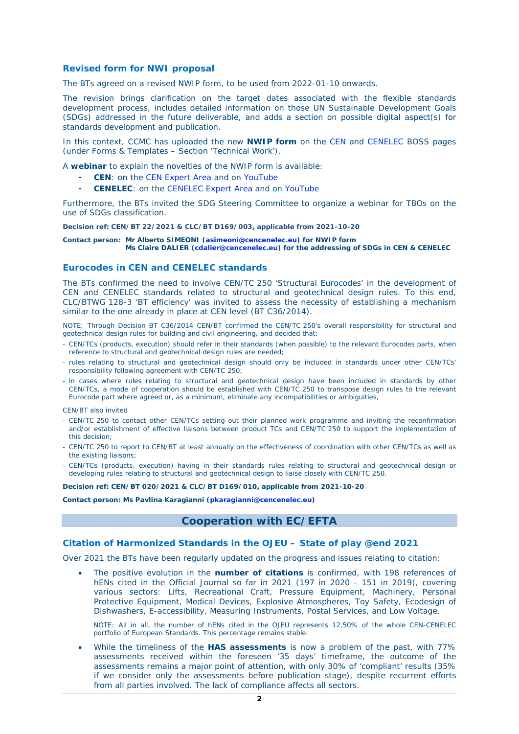#### **Revised form for NWI proposal**

The BTs agreed on a revised NWIP form, to be used from 2022-01-10 onwards.

The revision brings clarification on the target dates associated with the flexible standards development process, includes detailed information on those UN Sustainable Development Goals (SDGs) addressed in the future deliverable, and adds a section on possible digital aspect(s) for standards development and publication.

In this context, CCMC has uploaded the new **NWIP form** on the [CEN](https://boss.cen.eu/reference-material/formstemplates/pages/) and [CENELEC](https://boss.cenelec.eu/reference-material/formstemplates/pages/) BOSS pages (under Forms & Templates – Section 'Technical Work').

A **webinar** to explain the novelties of the NWIP form is available:

- CEN: on the [CEN Expert Area](https://experts.cen.eu/trainings-materials/events/2021/2021-12-17-cen-nwip-form/) and on [YouTube](https://www.youtube.com/watch?v=SSDvijR2-f8)
- **CENELEC**: on the [CENELEC Expert Area](https://eur01.safelinks.protection.outlook.com/?url=https%3A%2F%2Fexperts.cenelec.eu%2Ftrainings-materials%2Fevents%2F2021%2F2021-12-17-clc-nwip-form%2F&data=04%7C01%7Cnpaquay%40cencenelec.eu%7C0e744e4bfdf447b9d07808d9c3cec602%7Cccf5775126f1429c87578729c8e9e995%7C0%7C0%7C637756115124508370%7CUnknown%7CTWFpbGZsb3d8eyJWIjoiMC4wLjAwMDAiLCJQIjoiV2luMzIiLCJBTiI6Ik1haWwiLCJXVCI6Mn0%3D%7C3000&sdata=%2B0FiJ6VekmOKZLBtpkZjMj05dt3HNgJ%2BVWSeRo9%2B93A%3D&reserved=0) and on [YouTube](https://eur01.safelinks.protection.outlook.com/?url=https%3A%2F%2Fwww.youtube.com%2Fwatch%3Fv%3D1p0tYoPrD2o&data=04%7C01%7Cnpaquay%40cencenelec.eu%7C0e744e4bfdf447b9d07808d9c3cec602%7Cccf5775126f1429c87578729c8e9e995%7C0%7C0%7C637756115124508370%7CUnknown%7CTWFpbGZsb3d8eyJWIjoiMC4wLjAwMDAiLCJQIjoiV2luMzIiLCJBTiI6Ik1haWwiLCJXVCI6Mn0%3D%7C3000&sdata=GYM3z1brdNd%2FPQEo3DxCoawOAtt2EMC2epkz1vtz3N4%3D&reserved=0)

Furthermore, the BTs invited the SDG Steering Committee to organize a webinar for TBOs on the use of SDGs classification.

*Decision ref: CEN/BT 22/2021 & CLC/BT D169/003, applicable from 2021-10-20*

*Contact person: Mr Alberto SIMEONI [\(asimeoni@cencenelec.eu\)](mailto:asimeoni@cencenelec.eu) for NWIP form Ms Claire DALIER [\(cdalier@cencenelec.eu\)](mailto:cdalier@cencenelec.eu) for the addressing of SDGs in CEN & CENELEC*

#### **Eurocodes in CEN and CENELEC standards**

The BTs confirmed the need to involve CEN/TC 250 'Structural Eurocodes' in the development of CEN and CENELEC standards related to structural and geotechnical design rules. To this end, CLC/BTWG 128-3 'BT efficiency' was invited to assess the necessity of establishing a mechanism similar to the one already in place at CEN level (BT C36/2014).

NOTE: Through Decision BT C36/2014 CEN/BT confirmed the CEN/TC 250's overall responsibility for structural and geotechnical design rules for building and civil engineering, and decided that:

- CEN/TCs (products, execution) should refer in their standards (when possible) to the relevant Eurocodes parts, when reference to structural and geotechnical design rules are needed;
- rules relating to structural and geotechnical design should only be included in standards under other CEN/TCs' responsibility following agreement with CEN/TC 250;
- in cases where rules relating to structural and geotechnical design have been included in standards by other CEN/TCs, a mode of cooperation should be established with CEN/TC 250 to transpose design rules to the relevant Eurocode part where agreed or, as a minimum, eliminate any incompatibilities or ambiguities,

CEN/BT also invited

- CEN/TC 250 to contact other CEN/TCs setting out their planned work programme and inviting the reconfirmation and/or establishment of effective liaisons between product TCs and CEN/TC 250 to support the implementation of this decision;
- CEN/TC 250 to report to CEN/BT at least annually on the effectiveness of coordination with other CEN/TCs as well as the existing liaisons;
- CEN/TCs (products, execution) having in their standards rules relating to structural and geotechnical design or developing rules relating to structural and geotechnical design to liaise closely with CEN/TC 250.

*Decision ref: CEN/BT 020/2021 & CLC/BT D169/010, applicable from 2021-10-20*

*Contact person: Ms Pavlina Karagianni [\(pkaragianni@cencenelec.eu\)](mailto:pkaragianni@cencenelec.eu)*

## **Cooperation with EC/EFTA**

#### **Citation of Harmonized Standards in the OJEU – State of play @end 2021**

Over 2021 the BTs have been regularly updated on the progress and issues relating to citation:

• The positive evolution in the **number of citations** is confirmed, with 198 references of hENs cited in the Official Journal so far in 2021 (197 in 2020 - 151 in 2019), covering various sectors: Lifts, Recreational Craft, Pressure Equipment, Machinery, Personal Protective Equipment, Medical Devices, Explosive Atmospheres, Toy Safety, Ecodesign of Dishwashers, E-accessibility, Measuring Instruments, Postal Services, and Low Voltage.

NOTE: All in all, the number of hENs cited in the OJEU represents 12,50% of the whole CEN-CENELEC portfolio of European Standards. This percentage remains stable.

• While the timeliness of the **HAS assessments** is now a problem of the past, with 77% assessments received within the foreseen '35 days' timeframe, the outcome of the assessments remains a major point of attention, with only 30% of 'compliant' results (35% if we consider only the assessments before publication stage), despite recurrent efforts from all parties involved. The lack of compliance affects all sectors.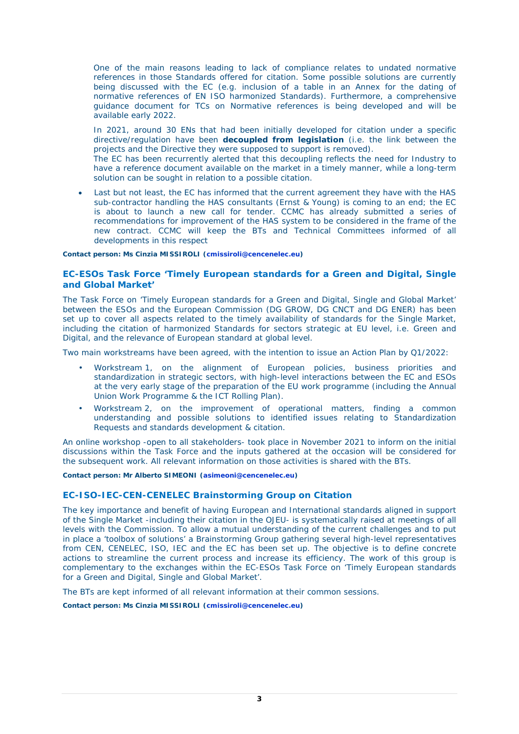One of the main reasons leading to lack of compliance relates to undated normative references in those Standards offered for citation. Some possible solutions are currently being discussed with the EC (e.g. inclusion of a table in an Annex for the dating of normative references of EN ISO harmonized Standards). Furthermore, a comprehensive guidance document for TCs on Normative references is being developed and will be available early 2022.

In 2021, around 30 ENs that had been initially developed for citation under a specific directive/regulation have been **decoupled from legislation** (i.e. the link between the projects and the Directive they were supposed to support is removed).

The EC has been recurrently alerted that this decoupling reflects the need for Industry to have a reference document available on the market in a timely manner, while a long-term solution can be sought in relation to a possible citation.

Last but not least, the EC has informed that the current agreement they have with the HAS sub-contractor handling the HAS consultants (Ernst & Young) is coming to an end; the EC is about to launch a new call for tender. CCMC has already submitted a series of recommendations for improvement of the HAS system to be considered in the frame of the new contract. CCMC will keep the BTs and Technical Committees informed of all developments in this respect

#### *Contact person: Ms Cinzia MISSIROLI [\(cmissiroli@cencenelec.eu\)](mailto:cmissiroli@cencenelec.eu)*

### **EC-ESOs Task Force 'Timely European standards for a Green and Digital, Single and Global Market'**

The Task Force on 'Timely European standards for a Green and Digital, Single and Global Market' between the ESOs and the European Commission (DG GROW, DG CNCT and DG ENER) has been set up to cover all aspects related to the timely availability of standards for the Single Market, including the citation of harmonized Standards for sectors strategic at EU level, i.e. Green and Digital, and the relevance of European standard at global level.

Two main workstreams have been agreed, with the intention to issue an Action Plan by Q1/2022:

- Workstream 1, on the alignment of European policies, business priorities and standardization in strategic sectors, with high-level interactions between the EC and ESOs at the very early stage of the preparation of the EU work programme (including the Annual Union Work Programme & the ICT Rolling Plan).
- Workstream 2, on the improvement of operational matters, finding a common understanding and possible solutions to identified issues relating to Standardization Requests and standards development & citation.

An online workshop -open to all stakeholders- took place in November 2021 to inform on the initial discussions within the Task Force and the inputs gathered at the occasion will be considered for the subsequent work. All relevant information on those activities is shared with the BTs.

#### *Contact person: Mr Alberto SIMEONI [\(asimeoni@cencenelec.eu\)](mailto:asimeoni@cencenelec.eu)*

#### **EC-ISO-IEC-CEN-CENELEC Brainstorming Group on Citation**

The key importance and benefit of having European and International standards aligned in support of the Single Market -including their citation in the OJEU- is systematically raised at meetings of all levels with the Commission. To allow a mutual understanding of the current challenges and to put in place a 'toolbox of solutions' a Brainstorming Group gathering several high-level representatives from CEN, CENELEC, ISO, IEC and the EC has been set up. The objective is to define concrete actions to streamline the current process and increase its efficiency. The work of this group is complementary to the exchanges within the EC-ESOs Task Force on 'Timely European standards for a Green and Digital, Single and Global Market'.

The BTs are kept informed of all relevant information at their common sessions.

*Contact person: Ms Cinzia MISSIROLI [\(cmissiroli@cencenelec.eu\)](mailto:cmissiroli@cencenelec.eu)*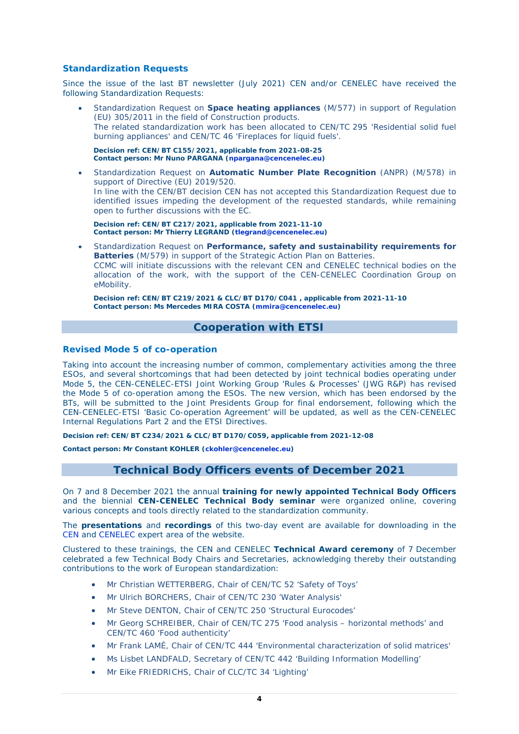### **Standardization Requests**

Since the issue of the last BT newsletter (July 2021) CEN and/or CENELEC have received the following Standardization Requests:

• Standardization Request on **Space heating appliances** (M/577) in support of Regulation (EU) 305/2011 in the field of Construction products. The related standardization work has been allocated to CEN/TC 295 'Residential solid fuel burning appliances' and CEN/TC 46 'Fireplaces for liquid fuels'.

*Decision ref: CEN/BT C155/2021, applicable from 2021-08-25 Contact person: Mr Nuno PARGANA [\(npargana@cencenelec.eu\)](mailto:npargana@cencenelec.eu)*

• Standardization Request on **Automatic Number Plate Recognition** (ANPR) (M/578) in support of Directive (EU) 2019/520. In line with the CEN/BT decision CEN has not accepted this Standardization Request due to identified issues impeding the development of the requested standards, while remaining open to further discussions with the EC.

*Decision ref: CEN/BT C217/2021, applicable from 2021-11-10 Contact person: Mr Thierry LEGRAND [\(tlegrand@cencenelec.eu\)](mailto:tlegrand@cencenelec.eu)*

• Standardization Request on **Performance, safety and sustainability requirements for Batteries** (M/579) in support of the Strategic Action Plan on Batteries. CCMC will initiate discussions with the relevant CEN and CENELEC technical bodies on the allocation of the work, with the support of the CEN-CENELEC Coordination Group on eMobility.

*Decision ref: CEN/BT C219/2021 & CLC/BT D170/C041 , applicable from 2021-11-10 Contact person: Ms Mercedes MIRA COSTA [\(mmira@cencenelec.eu\)](mailto:mmira@cencenelec.eu)*

# **Cooperation with ETSI**

### **Revised Mode 5 of co-operation**

Taking into account the increasing number of common, complementary activities among the three ESOs, and several shortcomings that had been detected by joint technical bodies operating under Mode 5, the CEN-CENELEC-ETSI Joint Working Group 'Rules & Processes' (JWG R&P) has revised the Mode 5 of co-operation among the ESOs. The new version, which has been endorsed by the BTs, will be submitted to the Joint Presidents Group for final endorsement, following which the CEN-CENELEC-ETSI 'Basic Co-operation Agreement' will be updated, as well as the CEN-CENELEC Internal Regulations Part 2 and the ETSI Directives.

*Decision ref: CEN/BT C234/2021 & CLC/BT D170/C059, applicable from 2021-12-08*

*Contact person: Mr Constant KOHLER [\(ckohler@cencenelec.eu\)](mailto:ckohler@cencenelec.eu)*

## **Technical Body Officers events of December 2021**

On 7 and 8 December 2021 the annual **training for newly appointed Technical Body Officers** and the biennial **CEN-CENELEC Technical Body seminar** were organized online, covering various concepts and tools directly related to the standardization community.

The **presentations** and **recordings** of this two-day event are available for downloading in the [CEN](https://experts.cen.eu/news/2021-12-13-tbo-training-seminar/) and [CENELEC](https://experts.cenelec.eu/news/2021-12-13-tbo-training-seminar/) expert area of the website.

Clustered to these trainings, the CEN and CENELEC **Technical Award ceremony** of 7 December celebrated a few Technical Body Chairs and Secretaries, acknowledging thereby their outstanding contributions to the work of European standardization:

- Mr Christian WETTERBERG, Chair of CEN/TC 52 'Safety of Toys'
- Mr Ulrich BORCHERS, Chair of CEN/TC 230 'Water Analysis'
- Mr Steve DENTON, Chair of CEN/TC 250 'Structural Eurocodes'
- Mr Georg SCHREIBER, Chair of CEN/TC 275 'Food analysis horizontal methods' and CEN/TC 460 'Food authenticity'
- Mr Frank LAMÉ, Chair of CEN/TC 444 'Environmental characterization of solid matrices'
- Ms Lisbet LANDFALD, Secretary of CEN/TC 442 'Building Information Modelling'
- Mr Eike FRIEDRICHS, Chair of CLC/TC 34 'Lighting'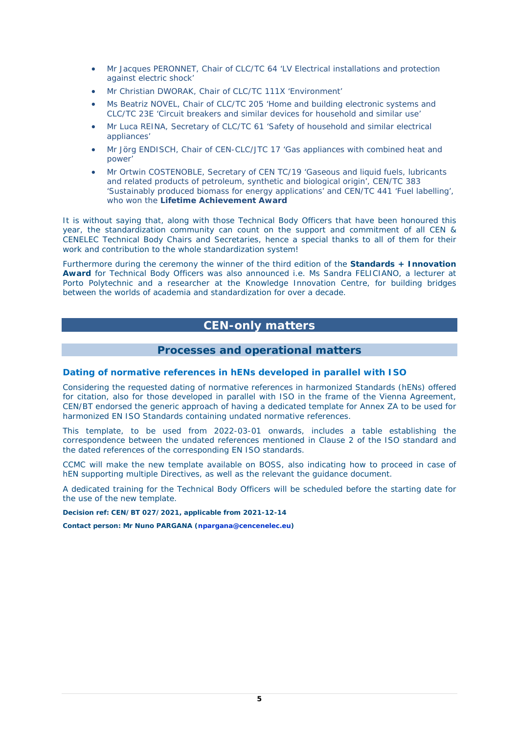- Mr Jacques PERONNET, Chair of CLC/TC 64 'LV Electrical installations and protection against electric shock'
- Mr Christian DWORAK, Chair of CLC/TC 111X 'Environment'
- Ms Beatriz NOVEL, Chair of CLC/TC 205 'Home and building electronic systems and CLC/TC 23E 'Circuit breakers and similar devices for household and similar use'
- Mr Luca REINA, Secretary of CLC/TC 61 'Safety of household and similar electrical appliances'
- Mr Jörg ENDISCH, Chair of CEN-CLC/JTC 17 'Gas appliances with combined heat and power'
- Mr Ortwin COSTENOBLE, Secretary of CEN TC/19 'Gaseous and liquid fuels, lubricants and related products of petroleum, synthetic and biological origin', CEN/TC 383 'Sustainably produced biomass for energy applications' and CEN/TC 441 'Fuel labelling', who won the **Lifetime Achievement Award**

It is without saying that, along with those Technical Body Officers that have been honoured this year, the standardization community can count on the support and commitment of all CEN & CENELEC Technical Body Chairs and Secretaries, hence a special thanks to all of them for their work and contribution to the whole standardization system!

Furthermore during the ceremony the winner of the third edition of the **[Standards + Innovation](https://www.cencenelec.eu/news-and-events/events/2021/2021-10-05-standards-innovation-awards-2021/#:%7E:text=The%20Standards%2BInnovation%20Awards%20acknowledge,innovators%20and%20entrepreneurs%20to%20standardization.)  [Award](https://www.cencenelec.eu/news-and-events/events/2021/2021-10-05-standards-innovation-awards-2021/#:%7E:text=The%20Standards%2BInnovation%20Awards%20acknowledge,innovators%20and%20entrepreneurs%20to%20standardization.)** for Technical Body Officers was also announced i.e. Ms [Sandra FELICIANO,](https://www.cencenelec.eu/news-and-events/news/2021/briefnews/2021-12-08-2021-standards-innovation-technical-body-officer-awards/) a lecturer at Porto Polytechnic and a researcher at the Knowledge Innovation Centre, for building bridges between the worlds of academia and standardization for over a decade.

# **CEN-only matters**

## **Processes and operational matters**

## **Dating of normative references in hENs developed in parallel with ISO**

Considering the requested dating of normative references in harmonized Standards (hENs) offered for citation, also for those developed in parallel with ISO in the frame of the Vienna Agreement, CEN/BT endorsed the generic approach of having a dedicated template for Annex ZA to be used for harmonized EN ISO Standards containing undated normative references.

This template, to be used from 2022-03-01 onwards, includes a table establishing the correspondence between the undated references mentioned in Clause 2 of the ISO standard and the dated references of the corresponding EN ISO standards.

CCMC will make the new template available on BOSS, also indicating how to proceed in case of hEN supporting multiple Directives, as well as the relevant the guidance document.

A dedicated training for the Technical Body Officers will be scheduled before the starting date for the use of the new template.

*Decision ref: CEN/BT 027/2021, applicable from 2021-12-14*

*Contact person: Mr Nuno PARGANA [\(npargana@cencenelec.eu\)](mailto:npargana@cencenelec.eu)*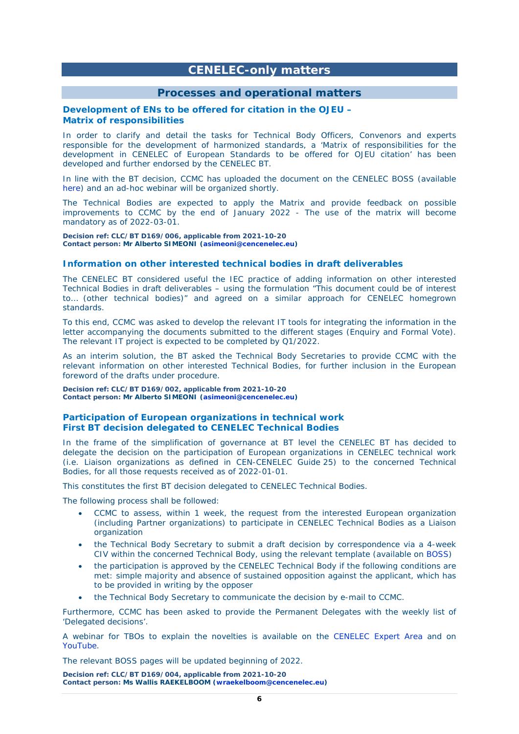# **CENELEC-only matters**

## **Processes and operational matters**

#### **Development of ENs to be offered for citation in the OJEU – Matrix of responsibilities**

In order to clarify and detail the tasks for Technical Body Officers, Convenors and experts responsible for the development of harmonized standards, a 'Matrix of responsibilities for the development in CENELEC of European Standards to be offered for OJEU citation' has been developed and further endorsed by the CENELEC BT.

In line with the BT decision, CCMC has uploaded the document on the CENELEC BOSS (available [here\)](https://boss.cenelec.eu/media/matrix_responsibilities_harmonizedeniec.pdf) and an ad-hoc webinar will be organized shortly.

The Technical Bodies are expected to apply the Matrix and provide feedback on possible improvements to CCMC by the end of January 2022 - The use of the matrix will become mandatory as of 2022-03-01.

*Decision ref: CLC/BT D169/006, applicable from 2021-10-20 Contact person: Mr Alberto SIMEONI [\(asimeoni@cencenelec.eu\)](mailto:asimeoni@cencenelec.eu)*

#### **Information on other interested technical bodies in draft deliverables**

The CENELEC BT considered useful the IEC practice of adding information on other interested Technical Bodies in draft deliverables – using the formulation "This document could be of interest to… (other technical bodies)" and agreed on a similar approach for CENELEC homegrown standards.

To this end, CCMC was asked to develop the relevant IT tools for integrating the information in the letter accompanying the documents submitted to the different stages (Enquiry and Formal Vote). The relevant IT project is expected to be completed by Q1/2022.

As an interim solution, the BT asked the Technical Body Secretaries to provide CCMC with the relevant information on other interested Technical Bodies, for further inclusion in the European foreword of the drafts under procedure.

*Decision ref: CLC/BT D169/002, applicable from 2021-10-20 Contact person: Mr Alberto SIMEONI [\(asimeoni@cencenelec.eu\)](mailto:asimeoni@cencenelec.eu)*

#### **Participation of European organizations in technical work First BT decision delegated to CENELEC Technical Bodies**

In the frame of the simplification of governance at BT level the CENELEC BT has decided to delegate the decision on the participation of European organizations in CENELEC technical work (i.e. Liaison organizations as defined in CEN-CENELEC Guide 25) to the concerned Technical Bodies, for all those requests received as of 2022-01-01.

This constitutes the first BT decision delegated to CENELEC Technical Bodies.

The following process shall be followed:

- CCMC to assess, within 1 week, the request from the interested European organization (including Partner organizations) to participate in CENELEC Technical Bodies as a Liaison organization
- the Technical Body Secretary to submit a draft decision by correspondence via a 4-week CIV within the concerned Technical Body, using the relevant template (available on [BOSS\)](https://boss.cenelec.eu/media/BOSS%20CENELEC/formtemp/liaison_organisation_dd.docx)
- the participation is approved by the CENELEC Technical Body if the following conditions are met: simple majority and absence of sustained opposition against the applicant, which has to be provided in writing by the opposer
- the Technical Body Secretary to communicate the decision by e-mail to CCMC.

Furthermore, CCMC has been asked to provide the Permanent Delegates with the weekly list of 'Delegated decisions'.

A webinar for TBOs to explain the novelties is available on the [CENELEC Expert Area](https://eur01.safelinks.protection.outlook.com/?url=https%3A%2F%2Fexperts.cenelec.eu%2Ftrainings-materials%2Fevents%2F2021%2F2021-12-17-bt-delegations-to-tbs-on-the-approval-process-for-liaisons-organizations%2F&data=04%7C01%7Cnpaquay%40cencenelec.eu%7C0e744e4bfdf447b9d07808d9c3cec602%7Cccf5775126f1429c87578729c8e9e995%7C0%7C0%7C637756115124508370%7CUnknown%7CTWFpbGZsb3d8eyJWIjoiMC4wLjAwMDAiLCJQIjoiV2luMzIiLCJBTiI6Ik1haWwiLCJXVCI6Mn0%3D%7C3000&sdata=0h%2FZz21%2FTsmxGJGxrBs92C44k33zMLzD91DhZM159Jw%3D&reserved=0) and on [YouTube.](https://eur01.safelinks.protection.outlook.com/?url=https%3A%2F%2Fwww.youtube.com%2Fwatch%3Fv%3DQW25AmMARBk&data=04%7C01%7Cnpaquay%40cencenelec.eu%7C0e744e4bfdf447b9d07808d9c3cec602%7Cccf5775126f1429c87578729c8e9e995%7C0%7C0%7C637756115124508370%7CUnknown%7CTWFpbGZsb3d8eyJWIjoiMC4wLjAwMDAiLCJQIjoiV2luMzIiLCJBTiI6Ik1haWwiLCJXVCI6Mn0%3D%7C3000&sdata=XPXlgKMFOpy0Way9fojaLewR7dUTamfvBT8Zv4RniGI%3D&reserved=0)

The relevant BOSS pages will be updated beginning of 2022.

*Decision ref: CLC/BT D169/004, applicable from 2021-10-20 Contact person: Ms Wallis RAEKELBOOM [\(wraekelboom@cencenelec.eu\)](mailto:wraekelboom@cencenelec.eu)*